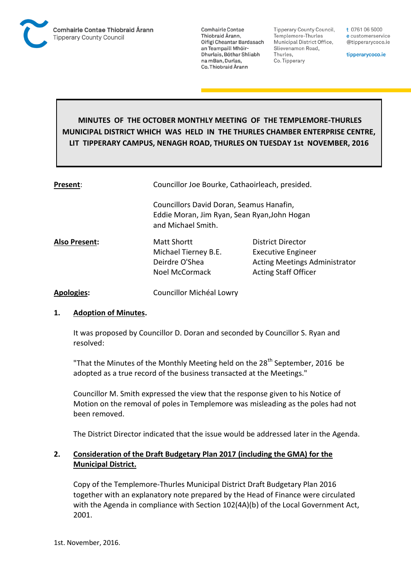

**Tipperary County Council,** Templemore-Thurles Municipal District Office, Slievenamon Road, Thurles, Co. Tipperary

t 0761 06 5000 e customerservice @tipperarycoco.ie

tipperarycoco.ie

# **MINUTES OF THE OCTOBER MONTHLY MEETING OF THE TEMPLEMORE-THURLES MUNICIPAL DISTRICT WHICH WAS HELD IN THE THURLES CHAMBER ENTERPRISE CENTRE, LIT TIPPERARY CAMPUS, NENAGH ROAD, THURLES ON TUESDAY 1st NOVEMBER, 2016**

| Present:             | Councillor Joe Bourke, Cathaoirleach, presided.                                                                |                                                                                                                       |  |
|----------------------|----------------------------------------------------------------------------------------------------------------|-----------------------------------------------------------------------------------------------------------------------|--|
|                      | Councillors David Doran, Seamus Hanafin,<br>Eddie Moran, Jim Ryan, Sean Ryan, John Hogan<br>and Michael Smith. |                                                                                                                       |  |
| <b>Also Present:</b> | Matt Shortt<br>Michael Tierney B.E.<br>Deirdre O'Shea<br>Noel McCormack                                        | District Director<br><b>Executive Engineer</b><br><b>Acting Meetings Administrator</b><br><b>Acting Staff Officer</b> |  |
| <b>Apologies:</b>    | Councillor Michéal Lowry                                                                                       |                                                                                                                       |  |

# **1. Adoption of Minutes.**

It was proposed by Councillor D. Doran and seconded by Councillor S. Ryan and resolved:

"That the Minutes of the Monthly Meeting held on the  $28<sup>th</sup>$  September, 2016 be adopted as a true record of the business transacted at the Meetings."

Councillor M. Smith expressed the view that the response given to his Notice of Motion on the removal of poles in Templemore was misleading as the poles had not been removed.

The District Director indicated that the issue would be addressed later in the Agenda.

# **2. Consideration of the Draft Budgetary Plan 2017 (including the GMA) for the Municipal District.**

Copy of the Templemore-Thurles Municipal District Draft Budgetary Plan 2016 together with an explanatory note prepared by the Head of Finance were circulated with the Agenda in compliance with Section 102(4A)(b) of the Local Government Act, 2001.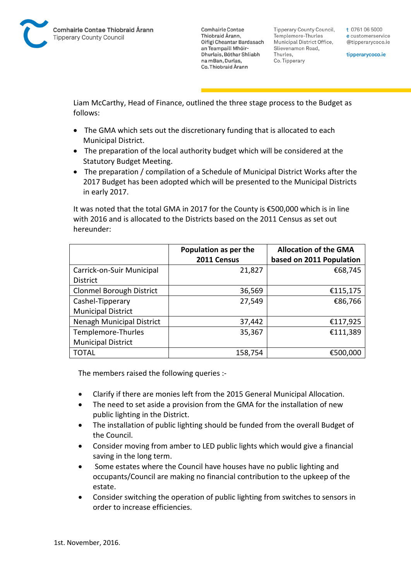**Tipperary County Council,** Templemore-Thurles Municipal District Office, Slievenamon Road, Thurles, Co. Tipperary

t 0761 06 5000 e customerservice @tipperarycoco.ie

tipperarycoco.ie

Liam McCarthy, Head of Finance, outlined the three stage process to the Budget as follows:

- The GMA which sets out the discretionary funding that is allocated to each Municipal District.
- The preparation of the local authority budget which will be considered at the Statutory Budget Meeting.
- The preparation / compilation of a Schedule of Municipal District Works after the 2017 Budget has been adopted which will be presented to the Municipal Districts in early 2017.

It was noted that the total GMA in 2017 for the County is €500,000 which is in line with 2016 and is allocated to the Districts based on the 2011 Census as set out hereunder:

|                                 | Population as per the | <b>Allocation of the GMA</b> |
|---------------------------------|-----------------------|------------------------------|
|                                 | 2011 Census           | based on 2011 Population     |
| Carrick-on-Suir Municipal       | 21,827                | €68,745                      |
| <b>District</b>                 |                       |                              |
| <b>Clonmel Borough District</b> | 36,569                | €115,175                     |
| Cashel-Tipperary                | 27,549                | €86,766                      |
| <b>Municipal District</b>       |                       |                              |
| Nenagh Municipal District       | 37,442                | €117,925                     |
| Templemore-Thurles              | 35,367                | €111,389                     |
| <b>Municipal District</b>       |                       |                              |
| <b>TOTAL</b>                    | 158,754               | €500,000                     |

The members raised the following queries :-

- Clarify if there are monies left from the 2015 General Municipal Allocation.
- The need to set aside a provision from the GMA for the installation of new public lighting in the District.
- The installation of public lighting should be funded from the overall Budget of the Council.
- Consider moving from amber to LED public lights which would give a financial saving in the long term.
- Some estates where the Council have houses have no public lighting and occupants/Council are making no financial contribution to the upkeep of the estate.
- Consider switching the operation of public lighting from switches to sensors in order to increase efficiencies.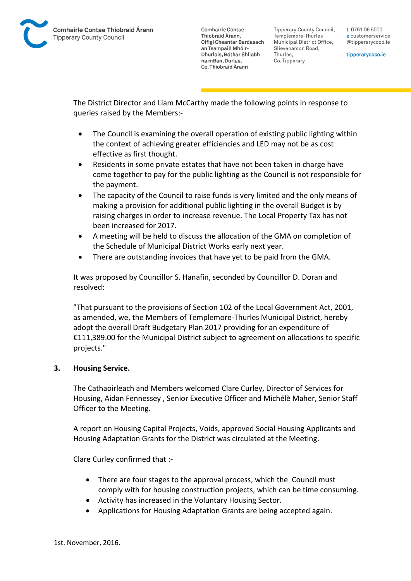

**Tipperary County Council,** Templemore-Thurles Municipal District Office, Slievenamon Road, Thurles, Co. Tipperary

t 0761 06 5000 e customerservice @tipperarycoco.ie

tipperarycoco.ie

The District Director and Liam McCarthy made the following points in response to queries raised by the Members:-

- The Council is examining the overall operation of existing public lighting within the context of achieving greater efficiencies and LED may not be as cost effective as first thought.
- Residents in some private estates that have not been taken in charge have come together to pay for the public lighting as the Council is not responsible for the payment.
- The capacity of the Council to raise funds is very limited and the only means of making a provision for additional public lighting in the overall Budget is by raising charges in order to increase revenue. The Local Property Tax has not been increased for 2017.
- A meeting will be held to discuss the allocation of the GMA on completion of the Schedule of Municipal District Works early next year.
- There are outstanding invoices that have yet to be paid from the GMA.

It was proposed by Councillor S. Hanafin, seconded by Councillor D. Doran and resolved:

"That pursuant to the provisions of Section 102 of the Local Government Act, 2001, as amended, we, the Members of Templemore-Thurles Municipal District, hereby adopt the overall Draft Budgetary Plan 2017 providing for an expenditure of €111,389.00 for the Municipal District subject to agreement on allocations to specific projects."

# **3. Housing Service.**

The Cathaoirleach and Members welcomed Clare Curley, Director of Services for Housing, Aidan Fennessey , Senior Executive Officer and Michélè Maher, Senior Staff Officer to the Meeting.

A report on Housing Capital Projects, Voids, approved Social Housing Applicants and Housing Adaptation Grants for the District was circulated at the Meeting.

Clare Curley confirmed that :-

- There are four stages to the approval process, which the Council must comply with for housing construction projects, which can be time consuming.
- Activity has increased in the Voluntary Housing Sector.
- Applications for Housing Adaptation Grants are being accepted again.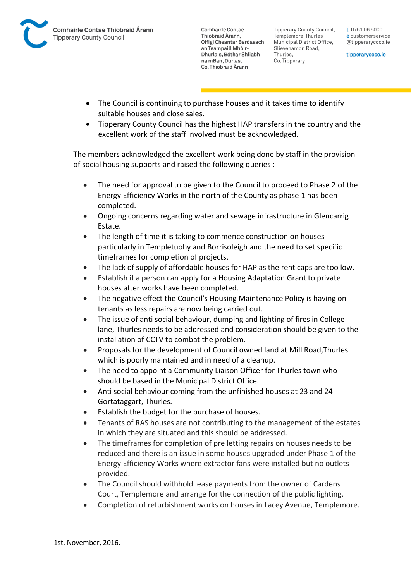

**Tipperary County Council,** Templemore-Thurles Municipal District Office, Slievenamon Road, Thurles, Co. Tipperary

t 0761 06 5000 e customerservice @tipperarycoco.ie

tipperarycoco.ie

- The Council is continuing to purchase houses and it takes time to identify suitable houses and close sales.
- Tipperary County Council has the highest HAP transfers in the country and the excellent work of the staff involved must be acknowledged.

The members acknowledged the excellent work being done by staff in the provision of social housing supports and raised the following queries :-

- The need for approval to be given to the Council to proceed to Phase 2 of the Energy Efficiency Works in the north of the County as phase 1 has been completed.
- Ongoing concerns regarding water and sewage infrastructure in Glencarrig Estate.
- The length of time it is taking to commence construction on houses particularly in Templetuohy and Borrisoleigh and the need to set specific timeframes for completion of projects.
- The lack of supply of affordable houses for HAP as the rent caps are too low.
- Establish if a person can apply for a Housing Adaptation Grant to private houses after works have been completed.
- The negative effect the Council's Housing Maintenance Policy is having on tenants as less repairs are now being carried out.
- The issue of anti social behaviour, dumping and lighting of fires in College lane, Thurles needs to be addressed and consideration should be given to the installation of CCTV to combat the problem.
- Proposals for the development of Council owned land at Mill Road,Thurles which is poorly maintained and in need of a cleanup.
- The need to appoint a Community Liaison Officer for Thurles town who should be based in the Municipal District Office.
- Anti social behaviour coming from the unfinished houses at 23 and 24 Gortataggart, Thurles.
- Establish the budget for the purchase of houses.
- Tenants of RAS houses are not contributing to the management of the estates in which they are situated and this should be addressed.
- The timeframes for completion of pre letting repairs on houses needs to be reduced and there is an issue in some houses upgraded under Phase 1 of the Energy Efficiency Works where extractor fans were installed but no outlets provided.
- The Council should withhold lease payments from the owner of Cardens Court, Templemore and arrange for the connection of the public lighting.
- Completion of refurbishment works on houses in Lacey Avenue, Templemore.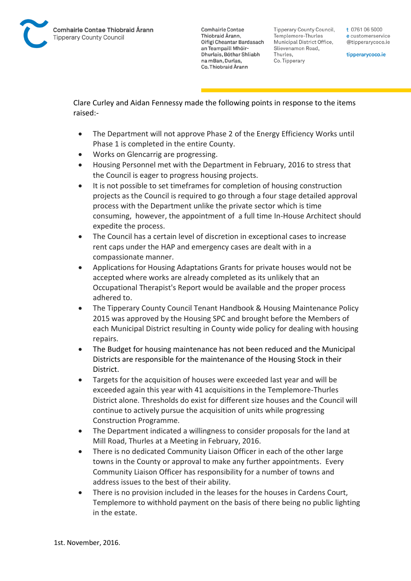**Tipperary County Council,** Templemore-Thurles Municipal District Office, Slievenamon Road, Thurles, Co. Tipperary

t 0761 06 5000 e customerservice @tipperarycoco.ie

tipperarycoco.ie

Clare Curley and Aidan Fennessy made the following points in response to the items raised:-

- The Department will not approve Phase 2 of the Energy Efficiency Works until Phase 1 is completed in the entire County.
- Works on Glencarrig are progressing.
- Housing Personnel met with the Department in February, 2016 to stress that the Council is eager to progress housing projects.
- It is not possible to set timeframes for completion of housing construction projects as the Council is required to go through a four stage detailed approval process with the Department unlike the private sector which is time consuming, however, the appointment of a full time In-House Architect should expedite the process.
- The Council has a certain level of discretion in exceptional cases to increase rent caps under the HAP and emergency cases are dealt with in a compassionate manner.
- Applications for Housing Adaptations Grants for private houses would not be accepted where works are already completed as its unlikely that an Occupational Therapist's Report would be available and the proper process adhered to.
- The Tipperary County Council Tenant Handbook & Housing Maintenance Policy 2015 was approved by the Housing SPC and brought before the Members of each Municipal District resulting in County wide policy for dealing with housing repairs.
- The Budget for housing maintenance has not been reduced and the Municipal Districts are responsible for the maintenance of the Housing Stock in their District.
- Targets for the acquisition of houses were exceeded last year and will be exceeded again this year with 41 acquisitions in the Templemore-Thurles District alone. Thresholds do exist for different size houses and the Council will continue to actively pursue the acquisition of units while progressing Construction Programme.
- The Department indicated a willingness to consider proposals for the land at Mill Road, Thurles at a Meeting in February, 2016.
- There is no dedicated Community Liaison Officer in each of the other large towns in the County or approval to make any further appointments. Every Community Liaison Officer has responsibility for a number of towns and address issues to the best of their ability.
- There is no provision included in the leases for the houses in Cardens Court, Templemore to withhold payment on the basis of there being no public lighting in the estate.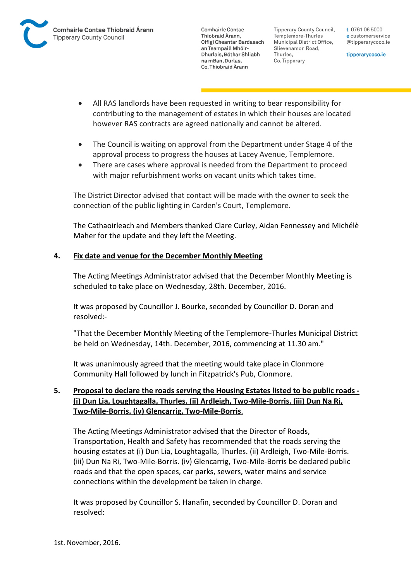

**Tipperary County Council,** Templemore-Thurles Municipal District Office, Slievenamon Road, Thurles, Co. Tipperary

t 0761 06 5000 e customerservice @tipperarycoco.ie

tipperarycoco.ie

- All RAS landlords have been requested in writing to bear responsibility for contributing to the management of estates in which their houses are located however RAS contracts are agreed nationally and cannot be altered.
- The Council is waiting on approval from the Department under Stage 4 of the approval process to progress the houses at Lacey Avenue, Templemore.
- There are cases where approval is needed from the Department to proceed with major refurbishment works on vacant units which takes time.

The District Director advised that contact will be made with the owner to seek the connection of the public lighting in Carden's Court, Templemore.

The Cathaoirleach and Members thanked Clare Curley, Aidan Fennessey and Michélè Maher for the update and they left the Meeting.

# **4. Fix date and venue for the December Monthly Meeting**

The Acting Meetings Administrator advised that the December Monthly Meeting is scheduled to take place on Wednesday, 28th. December, 2016.

It was proposed by Councillor J. Bourke, seconded by Councillor D. Doran and resolved:-

"That the December Monthly Meeting of the Templemore-Thurles Municipal District be held on Wednesday, 14th. December, 2016, commencing at 11.30 am."

It was unanimously agreed that the meeting would take place in Clonmore Community Hall followed by lunch in Fitzpatrick's Pub, Clonmore.

# **5. Proposal to declare the roads serving the Housing Estates listed to be public roads - (i) Dun Lia, Loughtagalla, Thurles. (ii) Ardleigh, Two-Mile-Borris. (iii) Dun Na Ri, Two-Mile-Borris. (iv) Glencarrig, Two-Mile-Borris**.

The Acting Meetings Administrator advised that the Director of Roads, Transportation, Health and Safety has recommended that the roads serving the housing estates at (i) Dun Lia, Loughtagalla, Thurles. (ii) Ardleigh, Two-Mile-Borris. (iii) Dun Na Ri, Two-Mile-Borris. (iv) Glencarrig, Two-Mile-Borris be declared public roads and that the open spaces, car parks, sewers, water mains and service connections within the development be taken in charge.

It was proposed by Councillor S. Hanafin, seconded by Councillor D. Doran and resolved: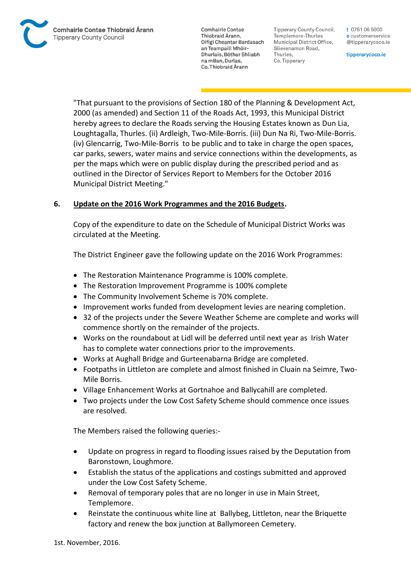**Tipperary County Council,** Templemore-Thurles Municipal District Office, Slievenamon Road, Thurles, Co. Tipperary

t 0761 06 5000 e customerservice @tipperarycoco.ie

tipperarycoco.ie

"That pursuant to the provisions of Section 180 of the Planning & Development Act, 2000 (as amended) and Section 11 of the Roads Act, 1993, this Municipal District hereby agrees to declare the Roads serving the Housing Estates known as Dun Lia, Loughtagalla, Thurles. (ii) Ardleigh, Two-Mile-Borris. (iii) Dun Na Ri, Two-Mile-Borris. (iv) Glencarrig, Two-Mile-Borris to be public and to take in charge the open spaces, car parks, sewers, water mains and service connections within the developments, as per the maps which were on public display during the prescribed period and as outlined in the Director of Services Report to Members for the October 2016 Municipal District Meeting."

# **6. Update on the 2016 Work Programmes and the 2016 Budgets.**

Copy of the expenditure to date on the Schedule of Municipal District Works was circulated at the Meeting.

The District Engineer gave the following update on the 2016 Work Programmes:

- The Restoration Maintenance Programme is 100% complete.
- The Restoration Improvement Programme is 100% complete
- The Community Involvement Scheme is 70% complete.
- Improvement works funded from development levies are nearing completion.
- 32 of the projects under the Severe Weather Scheme are complete and works will commence shortly on the remainder of the projects.
- Works on the roundabout at Lidl will be deferred until next year as Irish Water has to complete water connections prior to the improvements.
- Works at Aughall Bridge and Gurteenabarna Bridge are completed.
- Footpaths in Littleton are complete and almost finished in Cluain na Seimre, Two-Mile Borris.
- Village Enhancement Works at Gortnahoe and Ballycahill are completed.
- Two projects under the Low Cost Safety Scheme should commence once issues are resolved.

The Members raised the following queries:-

- Update on progress in regard to flooding issues raised by the Deputation from Baronstown, Loughmore.
- Establish the status of the applications and costings submitted and approved under the Low Cost Safety Scheme.
- Removal of temporary poles that are no longer in use in Main Street, Templemore.
- Reinstate the continuous white line at Ballybeg, Littleton, near the Briquette factory and renew the box junction at Ballymoreen Cemetery.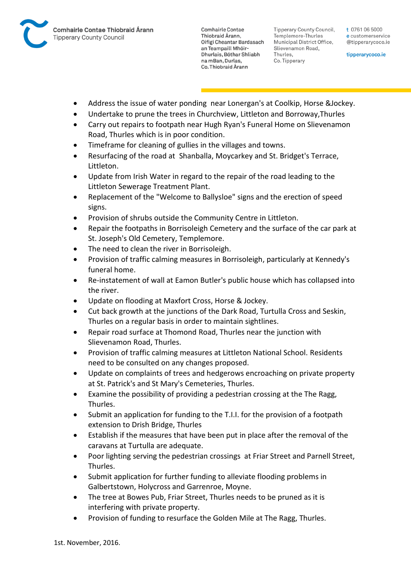

**Tipperary County Council,** Templemore-Thurles Municipal District Office, Slievenamon Road, Thurles, Co. Tipperary

t 0761 06 5000 e customerservice @tipperarycoco.ie

tipperarycoco.ie

- Address the issue of water ponding near Lonergan's at Coolkip, Horse &Jockey.
- Undertake to prune the trees in Churchview, Littleton and Borroway,Thurles
- Carry out repairs to footpath near Hugh Ryan's Funeral Home on Slievenamon Road, Thurles which is in poor condition.
- Timeframe for cleaning of gullies in the villages and towns.
- Resurfacing of the road at Shanballa, Moycarkey and St. Bridget's Terrace, Littleton.
- Update from Irish Water in regard to the repair of the road leading to the Littleton Sewerage Treatment Plant.
- Replacement of the "Welcome to Ballysloe" signs and the erection of speed signs.
- Provision of shrubs outside the Community Centre in Littleton.
- Repair the footpaths in Borrisoleigh Cemetery and the surface of the car park at St. Joseph's Old Cemetery, Templemore.
- The need to clean the river in Borrisoleigh.
- Provision of traffic calming measures in Borrisoleigh, particularly at Kennedy's funeral home.
- Re-instatement of wall at Eamon Butler's public house which has collapsed into the river.
- Update on flooding at Maxfort Cross, Horse & Jockey.
- Cut back growth at the junctions of the Dark Road, Turtulla Cross and Seskin, Thurles on a regular basis in order to maintain sightlines.
- Repair road surface at Thomond Road, Thurles near the junction with Slievenamon Road, Thurles.
- Provision of traffic calming measures at Littleton National School. Residents need to be consulted on any changes proposed.
- Update on complaints of trees and hedgerows encroaching on private property at St. Patrick's and St Mary's Cemeteries, Thurles.
- Examine the possibility of providing a pedestrian crossing at the The Ragg, Thurles.
- Submit an application for funding to the T.I.I. for the provision of a footpath extension to Drish Bridge, Thurles
- Establish if the measures that have been put in place after the removal of the caravans at Turtulla are adequate.
- Poor lighting serving the pedestrian crossings at Friar Street and Parnell Street, Thurles.
- Submit application for further funding to alleviate flooding problems in Galbertstown, Holycross and Garrenroe, Moyne.
- The tree at Bowes Pub, Friar Street, Thurles needs to be pruned as it is interfering with private property.
- Provision of funding to resurface the Golden Mile at The Ragg, Thurles.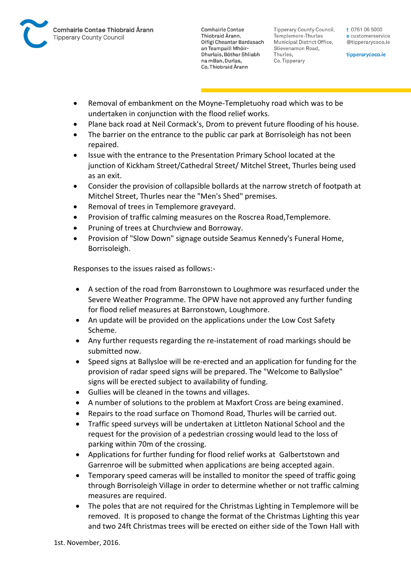

Tipperary County Council. Templemore-Thurles Municipal District Office, Slievenamon Road, Thurles, Co. Tipperary

t 0761 06 5000 e customerservice @tipperarycoco.ie

tipperarycoco.ie

- Removal of embankment on the Moyne-Templetuohy road which was to be undertaken in conjunction with the flood relief works.
- Plane back road at Neil Cormack's, Drom to prevent future flooding of his house.
- The barrier on the entrance to the public car park at Borrisoleigh has not been repaired.
- Issue with the entrance to the Presentation Primary School located at the junction of Kickham Street/Cathedral Street/ Mitchel Street, Thurles being used as an exit.
- Consider the provision of collapsible bollards at the narrow stretch of footpath at Mitchel Street, Thurles near the "Men's Shed" premises.
- Removal of trees in Templemore graveyard.
- Provision of traffic calming measures on the Roscrea Road,Templemore.
- Pruning of trees at Churchview and Borroway.
- Provision of "Slow Down" signage outside Seamus Kennedy's Funeral Home, Borrisoleigh.

Responses to the issues raised as follows:-

- A section of the road from Barronstown to Loughmore was resurfaced under the Severe Weather Programme. The OPW have not approved any further funding for flood relief measures at Barronstown, Loughmore.
- An update will be provided on the applications under the Low Cost Safety Scheme.
- Any further requests regarding the re-instatement of road markings should be submitted now.
- Speed signs at Ballysloe will be re-erected and an application for funding for the provision of radar speed signs will be prepared. The "Welcome to Ballysloe" signs will be erected subject to availability of funding.
- Gullies will be cleaned in the towns and villages.
- A number of solutions to the problem at Maxfort Cross are being examined.
- Repairs to the road surface on Thomond Road, Thurles will be carried out.
- Traffic speed surveys will be undertaken at Littleton National School and the request for the provision of a pedestrian crossing would lead to the loss of parking within 70m of the crossing.
- Applications for further funding for flood relief works at Galbertstown and Garrenroe will be submitted when applications are being accepted again.
- Temporary speed cameras will be installed to monitor the speed of traffic going through Borrisoleigh Village in order to determine whether or not traffic calming measures are required.
- The poles that are not required for the Christmas Lighting in Templemore will be removed. It is proposed to change the format of the Christmas Lighting this year and two 24ft Christmas trees will be erected on either side of the Town Hall with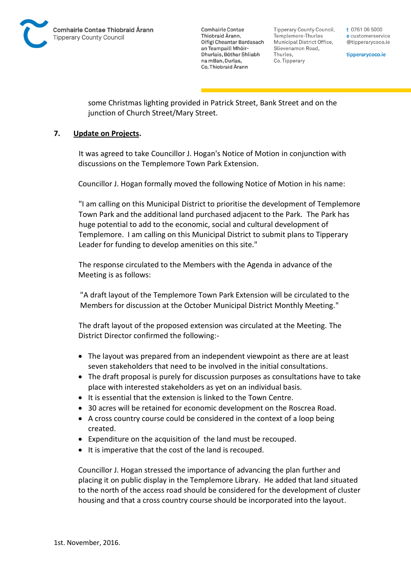

Tipperary County Council. Templemore-Thurles Municipal District Office, Slievenamon Road, Thurles, Co. Tipperary

t 0761 06 5000 e customerservice @tipperarycoco.ie

tipperarycoco.ie

some Christmas lighting provided in Patrick Street, Bank Street and on the junction of Church Street/Mary Street.

### **7. Update on Projects.**

It was agreed to take Councillor J. Hogan's Notice of Motion in conjunction with discussions on the Templemore Town Park Extension.

Councillor J. Hogan formally moved the following Notice of Motion in his name:

"I am calling on this Municipal District to prioritise the development of Templemore Town Park and the additional land purchased adjacent to the Park. The Park has huge potential to add to the economic, social and cultural development of Templemore. I am calling on this Municipal District to submit plans to Tipperary Leader for funding to develop amenities on this site."

The response circulated to the Members with the Agenda in advance of the Meeting is as follows:

"A draft layout of the Templemore Town Park Extension will be circulated to the Members for discussion at the October Municipal District Monthly Meeting."

The draft layout of the proposed extension was circulated at the Meeting. The District Director confirmed the following:-

- The layout was prepared from an independent viewpoint as there are at least seven stakeholders that need to be involved in the initial consultations.
- The draft proposal is purely for discussion purposes as consultations have to take place with interested stakeholders as yet on an individual basis.
- It is essential that the extension is linked to the Town Centre.
- 30 acres will be retained for economic development on the Roscrea Road.
- A cross country course could be considered in the context of a loop being created.
- Expenditure on the acquisition of the land must be recouped.
- It is imperative that the cost of the land is recouped.

Councillor J. Hogan stressed the importance of advancing the plan further and placing it on public display in the Templemore Library. He added that land situated to the north of the access road should be considered for the development of cluster housing and that a cross country course should be incorporated into the layout.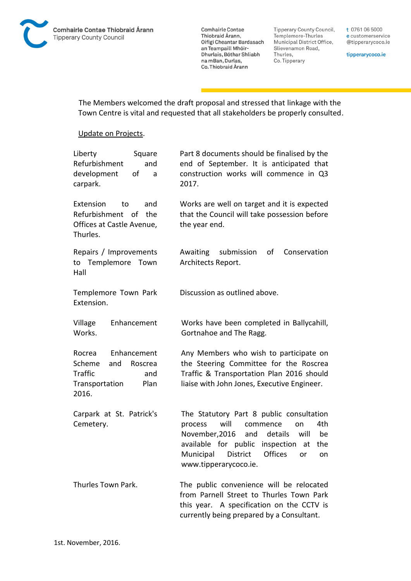![](_page_10_Picture_0.jpeg)

Tipperary County Council, Templemore-Thurles Municipal District Office, Slievenamon Road, Thurles, Co. Tipperary

t 0761 06 5000 e customerservice @tipperarycoco.ie

tipperarycoco.ie

The Members welcomed the draft proposal and stressed that linkage with the Town Centre is vital and requested that all stakeholders be properly consulted.

#### Update on Projects.

| Liberty<br>Square<br>Refurbishment<br>and<br>development<br>οf<br>a<br>carpark.                               | Part 8 documents should be finalised by the<br>end of September. It is anticipated that<br>construction works will commence in Q3<br>2017.                                                                                                                                |
|---------------------------------------------------------------------------------------------------------------|---------------------------------------------------------------------------------------------------------------------------------------------------------------------------------------------------------------------------------------------------------------------------|
| Extension<br>and<br>to<br>Refurbishment of<br>the<br>Offices at Castle Avenue,<br>Thurles.                    | Works are well on target and it is expected<br>that the Council will take possession before<br>the year end.                                                                                                                                                              |
| Repairs / Improvements<br>to Templemore Town<br>Hall                                                          | submission<br>οf<br>Conservation<br>Awaiting<br>Architects Report.                                                                                                                                                                                                        |
| Templemore Town Park<br>Extension.                                                                            | Discussion as outlined above.                                                                                                                                                                                                                                             |
| Village<br>Enhancement<br>Works.                                                                              | Works have been completed in Ballycahill,<br>Gortnahoe and The Ragg.                                                                                                                                                                                                      |
| Enhancement<br>Rocrea<br>Scheme<br>and<br>Roscrea<br><b>Traffic</b><br>and<br>Transportation<br>Plan<br>2016. | Any Members who wish to participate on<br>the Steering Committee for the Roscrea<br>Traffic & Transportation Plan 2016 should<br>liaise with John Jones, Executive Engineer.                                                                                              |
| Carpark at St. Patrick's<br>Cemetery.                                                                         | The Statutory Part 8 public consultation<br>will<br>4th<br>process<br>commence<br>on<br>November, 2016<br>details<br>be<br>and<br>will<br>available for public<br>inspection<br>the<br>at<br>Municipal<br>District<br><b>Offices</b><br>or<br>on<br>www.tipperarycoco.ie. |
| Thurles Town Park.                                                                                            | The public convenience will be relocated<br>from Parnell Street to Thurles Town Park<br>this year. A specification on the CCTV is<br>currently being prepared by a Consultant.                                                                                            |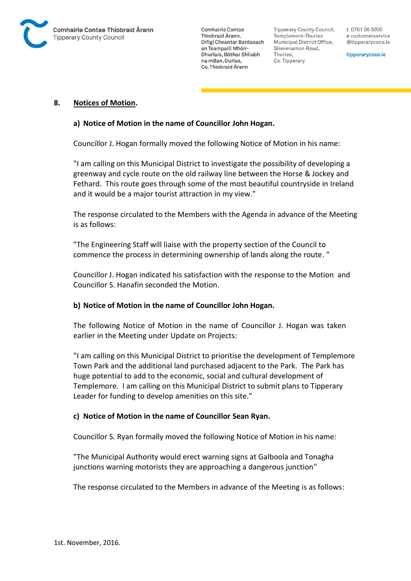![](_page_11_Picture_0.jpeg)

Tipperary County Council. Templemore-Thurles Municipal District Office, Slievenamon Road, Thurles, Co. Tipperary

t 0761 06 5000 e customerservice @tipperarycoco.ie

tipperarycoco.ie

#### **8. Notices of Motion.**

#### **a) Notice of Motion in the name of Councillor John Hogan.**

Councillor J. Hogan formally moved the following Notice of Motion in his name:

"I am calling on this Municipal District to investigate the possibility of developing a greenway and cycle route on the old railway line between the Horse & Jockey and Fethard. This route goes through some of the most beautiful countryside in Ireland and it would be a major tourist attraction in my view."

The response circulated to the Members with the Agenda in advance of the Meeting is as follows:

"The Engineering Staff will liaise with the property section of the Council to commence the process in determining ownership of lands along the route. "

Councillor J. Hogan indicated his satisfaction with the response to the Motion and Councillor S. Hanafin seconded the Motion.

#### **b) Notice of Motion in the name of Councillor John Hogan.**

The following Notice of Motion in the name of Councillor J. Hogan was taken earlier in the Meeting under Update on Projects:

"I am calling on this Municipal District to prioritise the development of Templemore Town Park and the additional land purchased adjacent to the Park. The Park has huge potential to add to the economic, social and cultural development of Templemore. I am calling on this Municipal District to submit plans to Tipperary Leader for funding to develop amenities on this site."

#### **c) Notice of Motion in the name of Councillor Sean Ryan.**

Councillor S. Ryan formally moved the following Notice of Motion in his name:

"The Municipal Authority would erect warning signs at Galboola and Tonagha junctions warning motorists they are approaching a dangerous junction"

The response circulated to the Members in advance of the Meeting is as follows: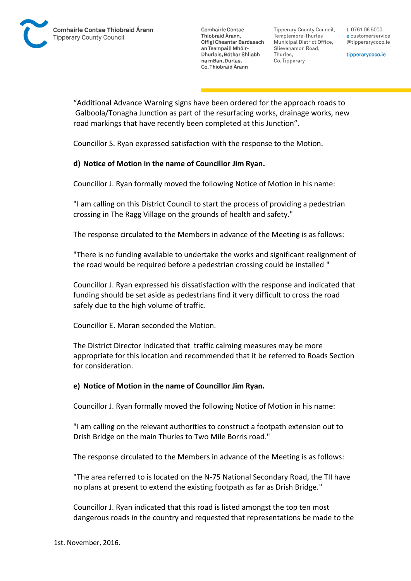**Tipperary County Council,** Templemore-Thurles Municipal District Office, Slievenamon Road, Thurles, Co. Tipperary

t 0761 06 5000 e customerservice @tipperarycoco.ie

tipperarycoco.ie

"Additional Advance Warning signs have been ordered for the approach roads to Galboola/Tonagha Junction as part of the resurfacing works, drainage works, new road markings that have recently been completed at this Junction".

Councillor S. Ryan expressed satisfaction with the response to the Motion.

# **d) Notice of Motion in the name of Councillor Jim Ryan.**

Councillor J. Ryan formally moved the following Notice of Motion in his name:

"I am calling on this District Council to start the process of providing a pedestrian crossing in The Ragg Village on the grounds of health and safety."

The response circulated to the Members in advance of the Meeting is as follows:

"There is no funding available to undertake the works and significant realignment of the road would be required before a pedestrian crossing could be installed "

Councillor J. Ryan expressed his dissatisfaction with the response and indicated that funding should be set aside as pedestrians find it very difficult to cross the road safely due to the high volume of traffic.

Councillor E. Moran seconded the Motion.

The District Director indicated that traffic calming measures may be more appropriate for this location and recommended that it be referred to Roads Section for consideration.

### **e) Notice of Motion in the name of Councillor Jim Ryan.**

Councillor J. Ryan formally moved the following Notice of Motion in his name:

"I am calling on the relevant authorities to construct a footpath extension out to Drish Bridge on the main Thurles to Two Mile Borris road."

The response circulated to the Members in advance of the Meeting is as follows:

"The area referred to is located on the N-75 National Secondary Road, the TII have no plans at present to extend the existing footpath as far as Drish Bridge."

Councillor J. Ryan indicated that this road is listed amongst the top ten most dangerous roads in the country and requested that representations be made to the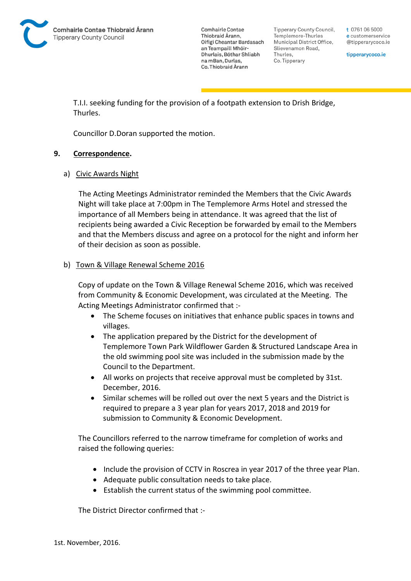![](_page_13_Picture_0.jpeg)

**Tipperary County Council,** Templemore-Thurles Municipal District Office, Slievenamon Road, Thurles, Co. Tipperary

t 0761 06 5000 e customerservice @tipperarycoco.ie

tipperarycoco.ie

T.I.I. seeking funding for the provision of a footpath extension to Drish Bridge, Thurles.

Councillor D.Doran supported the motion.

### **9. Correspondence.**

### a) Civic Awards Night

The Acting Meetings Administrator reminded the Members that the Civic Awards Night will take place at 7:00pm in The Templemore Arms Hotel and stressed the importance of all Members being in attendance. It was agreed that the list of recipients being awarded a Civic Reception be forwarded by email to the Members and that the Members discuss and agree on a protocol for the night and inform her of their decision as soon as possible.

### b) Town & Village Renewal Scheme 2016

Copy of update on the Town & Village Renewal Scheme 2016, which was received from Community & Economic Development, was circulated at the Meeting. The Acting Meetings Administrator confirmed that :-

- The Scheme focuses on initiatives that enhance public spaces in towns and villages.
- The application prepared by the District for the development of Templemore Town Park Wildflower Garden & Structured Landscape Area in the old swimming pool site was included in the submission made by the Council to the Department.
- All works on projects that receive approval must be completed by 31st. December, 2016.
- Similar schemes will be rolled out over the next 5 years and the District is required to prepare a 3 year plan for years 2017, 2018 and 2019 for submission to Community & Economic Development.

The Councillors referred to the narrow timeframe for completion of works and raised the following queries:

- Include the provision of CCTV in Roscrea in year 2017 of the three year Plan.
- Adequate public consultation needs to take place.
- Establish the current status of the swimming pool committee.

The District Director confirmed that :-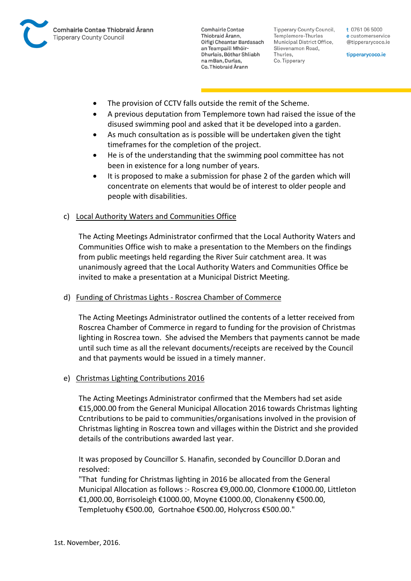![](_page_14_Picture_0.jpeg)

Tipperary County Council. Templemore-Thurles Municipal District Office, Slievenamon Road, Thurles, Co. Tipperary

t 0761 06 5000 e customerservice @tipperarycoco.ie

tipperarycoco.ie

- The provision of CCTV falls outside the remit of the Scheme.
- A previous deputation from Templemore town had raised the issue of the disused swimming pool and asked that it be developed into a garden.
- As much consultation as is possible will be undertaken given the tight timeframes for the completion of the project.
- He is of the understanding that the swimming pool committee has not been in existence for a long number of years.
- It is proposed to make a submission for phase 2 of the garden which will concentrate on elements that would be of interest to older people and people with disabilities.

### c) Local Authority Waters and Communities Office

The Acting Meetings Administrator confirmed that the Local Authority Waters and Communities Office wish to make a presentation to the Members on the findings from public meetings held regarding the River Suir catchment area. It was unanimously agreed that the Local Authority Waters and Communities Office be invited to make a presentation at a Municipal District Meeting.

### d) Funding of Christmas Lights - Roscrea Chamber of Commerce

The Acting Meetings Administrator outlined the contents of a letter received from Roscrea Chamber of Commerce in regard to funding for the provision of Christmas lighting in Roscrea town. She advised the Members that payments cannot be made until such time as all the relevant documents/receipts are received by the Council and that payments would be issued in a timely manner.

### e) Christmas Lighting Contributions 2016

The Acting Meetings Administrator confirmed that the Members had set aside €15,000.00 from the General Municipal Allocation 2016 towards Christmas lighting Ccntributions to be paid to communities/organisations involved in the provision of Christmas lighting in Roscrea town and villages within the District and she provided details of the contributions awarded last year.

It was proposed by Councillor S. Hanafin, seconded by Councillor D.Doran and resolved:

"That funding for Christmas lighting in 2016 be allocated from the General Municipal Allocation as follows :- Roscrea €9,000.00, Clonmore €1000.00, Littleton €1,000.00, Borrisoleigh €1000.00, Moyne €1000.00, Clonakenny €500.00, Templetuohy €500.00, Gortnahoe €500.00, Holycross €500.00."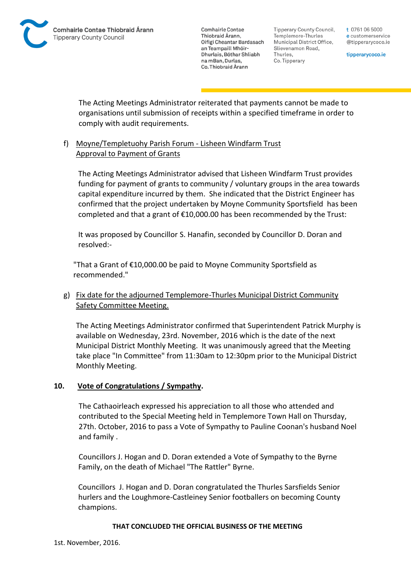**Tipperary County Council,** Templemore-Thurles Municipal District Office, Slievenamon Road, Thurles, Co. Tipperary

t 0761 06 5000 e customerservice @tipperarycoco.ie

tipperarycoco.ie

The Acting Meetings Administrator reiterated that payments cannot be made to organisations until submission of receipts within a specified timeframe in order to comply with audit requirements.

# f) Moyne/Templetuohy Parish Forum - Lisheen Windfarm Trust Approval to Payment of Grants

The Acting Meetings Administrator advised that Lisheen Windfarm Trust provides funding for payment of grants to community / voluntary groups in the area towards capital expenditure incurred by them. She indicated that the District Engineer has confirmed that the project undertaken by Moyne Community Sportsfield has been completed and that a grant of €10,000.00 has been recommended by the Trust:

It was proposed by Councillor S. Hanafin, seconded by Councillor D. Doran and resolved:-

"That a Grant of €10,000.00 be paid to Moyne Community Sportsfield as recommended."

# g) Fix date for the adjourned Templemore-Thurles Municipal District Community Safety Committee Meeting.

The Acting Meetings Administrator confirmed that Superintendent Patrick Murphy is available on Wednesday, 23rd. November, 2016 which is the date of the next Municipal District Monthly Meeting. It was unanimously agreed that the Meeting take place "In Committee" from 11:30am to 12:30pm prior to the Municipal District Monthly Meeting.

# **10. Vote of Congratulations / Sympathy.**

The Cathaoirleach expressed his appreciation to all those who attended and contributed to the Special Meeting held in Templemore Town Hall on Thursday, 27th. October, 2016 to pass a Vote of Sympathy to Pauline Coonan's husband Noel and family .

Councillors J. Hogan and D. Doran extended a Vote of Sympathy to the Byrne Family, on the death of Michael "The Rattler" Byrne.

Councillors J. Hogan and D. Doran congratulated the Thurles Sarsfields Senior hurlers and the Loughmore-Castleiney Senior footballers on becoming County champions.

### **THAT CONCLUDED THE OFFICIAL BUSINESS OF THE MEETING**